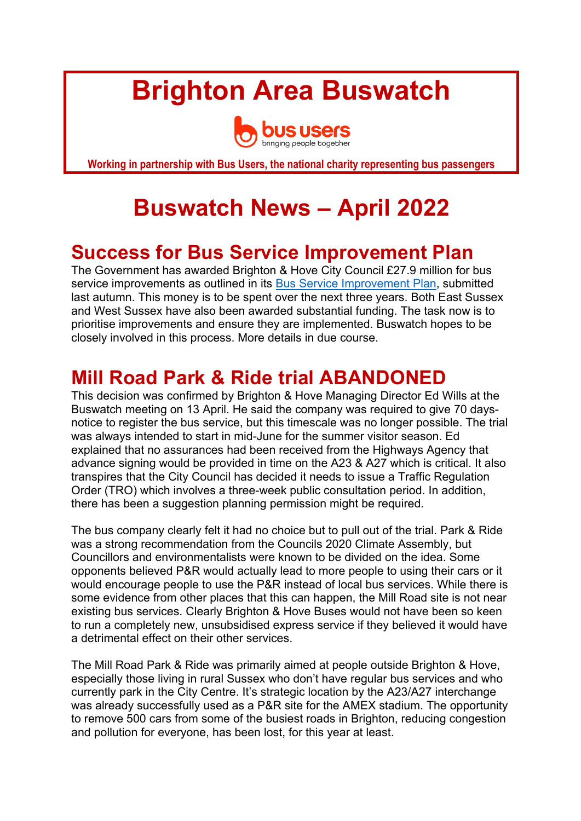# **Brighton Area Buswatch**



**Working in partnership with Bus Users, the national charity representing bus passengers**

## **Buswatch News – April 2022**

## **Success for Bus Service Improvement Plan**

The Government has awarded Brighton & Hove City Council £27.9 million for bus service improvements as outlined in its Bus Service Improvement Plan, submitted last autumn. This money is to be spent over the next three years. Both East Sussex and West Sussex have also been awarded substantial funding. The task now is to prioritise improvements and ensure they are implemented. Buswatch hopes to be closely involved in this process. More details in due course.

## **Mill Road Park & Ride trial ABANDONED**

This decision was confirmed by Brighton & Hove Managing Director Ed Wills at the Buswatch meeting on 13 April. He said the company was required to give 70 daysnotice to register the bus service, but this timescale was no longer possible. The trial was always intended to start in mid-June for the summer visitor season. Ed explained that no assurances had been received from the Highways Agency that advance signing would be provided in time on the A23 & A27 which is critical. It also transpires that the City Council has decided it needs to issue a Traffic Regulation Order (TRO) which involves a three-week public consultation period. In addition, there has been a suggestion planning permission might be required.

The bus company clearly felt it had no choice but to pull out of the trial. Park & Ride was a strong recommendation from the Councils 2020 Climate Assembly, but Councillors and environmentalists were known to be divided on the idea. Some opponents believed P&R would actually lead to more people to using their cars or it would encourage people to use the P&R instead of local bus services. While there is some evidence from other places that this can happen, the Mill Road site is not near existing bus services. Clearly Brighton & Hove Buses would not have been so keen to run a completely new, unsubsidised express service if they believed it would have a detrimental effect on their other services.

The Mill Road Park & Ride was primarily aimed at people outside Brighton & Hove, especially those living in rural Sussex who don't have regular bus services and who currently park in the City Centre. It's strategic location by the A23/A27 interchange was already successfully used as a P&R site for the AMEX stadium. The opportunity to remove 500 cars from some of the busiest roads in Brighton, reducing congestion and pollution for everyone, has been lost, for this year at least.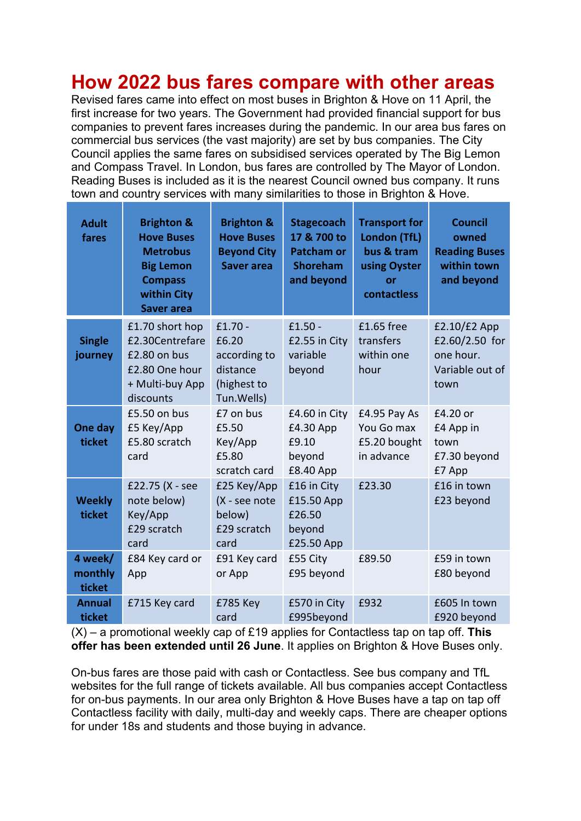## **How 2022 bus fares compare with other areas**

Revised fares came into effect on most buses in Brighton & Hove on 11 April, the first increase for two years. The Government had provided financial support for bus companies to prevent fares increases during the pandemic. In our area bus fares on commercial bus services (the vast majority) are set by bus companies. The City Council applies the same fares on subsidised services operated by The Big Lemon and Compass Travel. In London, bus fares are controlled by The Mayor of London. Reading Buses is included as it is the nearest Council owned bus company. It runs town and country services with many similarities to those in Brighton & Hove.

| <b>Adult</b><br>fares        | <b>Brighton &amp;</b><br><b>Hove Buses</b><br><b>Metrobus</b><br><b>Big Lemon</b><br><b>Compass</b><br>within City<br><b>Saver area</b> | <b>Brighton &amp;</b><br><b>Hove Buses</b><br><b>Beyond City</b><br><b>Saver area</b> | <b>Stagecoach</b><br>17 & 700 to<br><b>Patcham or</b><br><b>Shoreham</b><br>and beyond | <b>Transport for</b><br>London (TfL)<br>bus & tram<br>using Oyster<br>or<br>contactless | <b>Council</b><br>owned<br><b>Reading Buses</b><br>within town<br>and beyond |
|------------------------------|-----------------------------------------------------------------------------------------------------------------------------------------|---------------------------------------------------------------------------------------|----------------------------------------------------------------------------------------|-----------------------------------------------------------------------------------------|------------------------------------------------------------------------------|
| <b>Single</b><br>journey     | £1.70 short hop<br>£2.30Centrefare<br>£2.80 on bus<br>£2.80 One hour<br>+ Multi-buy App<br>discounts                                    | $£1.70 -$<br>£6.20<br>according to<br>distance<br>(highest to<br>Tun. Wells)          | $£1.50 -$<br>£2.55 in City<br>variable<br>beyond                                       | £1.65 free<br>transfers<br>within one<br>hour                                           | $£2.10/£2$ App<br>£2.60/2.50 for<br>one hour.<br>Variable out of<br>town     |
| One day<br>ticket            | £5.50 on bus<br>£5 Key/App<br>£5.80 scratch<br>card                                                                                     | £7 on bus<br>£5.50<br>Key/App<br>£5.80<br>scratch card                                | £4.60 in City<br>£4.30 App<br>£9.10<br>beyond<br>£8.40 App                             | £4.95 Pay As<br>You Go max<br>£5.20 bought<br>in advance                                | £4.20 or<br>£4 App in<br>town<br>£7.30 beyond<br>£7 App                      |
| <b>Weekly</b><br>ticket      | £22.75 (X - see<br>note below)<br>Key/App<br>£29 scratch<br>card                                                                        | £25 Key/App<br>(X - see note<br>below)<br>£29 scratch<br>card                         | £16 in City<br>£15.50 App<br>£26.50<br>beyond<br>£25.50 App                            | £23.30                                                                                  | £16 in town<br>£23 beyond                                                    |
| 4 week/<br>monthly<br>ticket | £84 Key card or<br>App                                                                                                                  | £91 Key card<br>or App                                                                | £55 City<br>£95 beyond                                                                 | £89.50                                                                                  | £59 in town<br>£80 beyond                                                    |
| <b>Annual</b><br>ticket      | £715 Key card                                                                                                                           | £785 Key<br>card                                                                      | £570 in City<br>£995beyond                                                             | £932                                                                                    | £605 In town<br>£920 beyond                                                  |

(X) – a promotional weekly cap of £19 applies for Contactless tap on tap off. **This offer has been extended until 26 June**. It applies on Brighton & Hove Buses only.

On-bus fares are those paid with cash or Contactless. See bus company and TfL websites for the full range of tickets available. All bus companies accept Contactless for on-bus payments. In our area only Brighton & Hove Buses have a tap on tap off Contactless facility with daily, multi-day and weekly caps. There are cheaper options for under 18s and students and those buying in advance.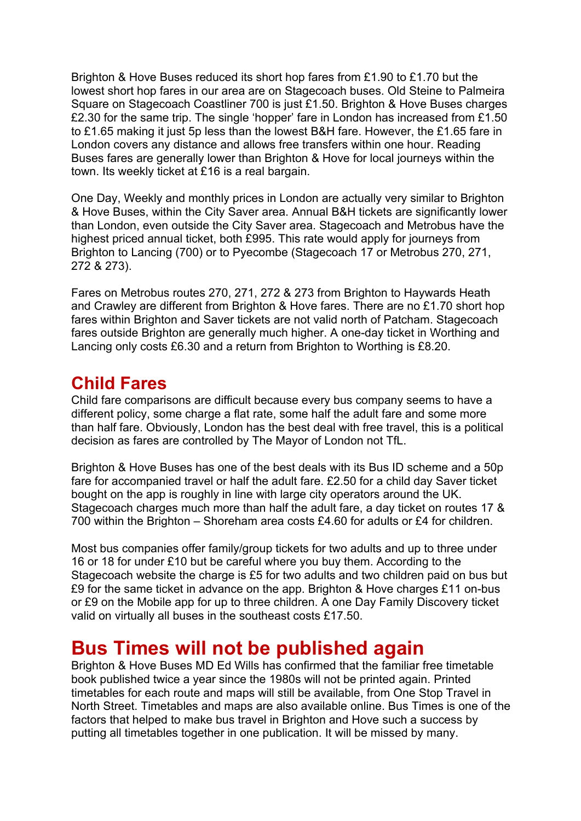Brighton & Hove Buses reduced its short hop fares from £1.90 to £1.70 but the lowest short hop fares in our area are on Stagecoach buses. Old Steine to Palmeira Square on Stagecoach Coastliner 700 is just £1.50. Brighton & Hove Buses charges £2.30 for the same trip. The single 'hopper' fare in London has increased from £1.50 to £1.65 making it just 5p less than the lowest B&H fare. However, the £1.65 fare in London covers any distance and allows free transfers within one hour. Reading Buses fares are generally lower than Brighton & Hove for local journeys within the town. Its weekly ticket at £16 is a real bargain.

One Day, Weekly and monthly prices in London are actually very similar to Brighton & Hove Buses, within the City Saver area. Annual B&H tickets are significantly lower than London, even outside the City Saver area. Stagecoach and Metrobus have the highest priced annual ticket, both £995. This rate would apply for journeys from Brighton to Lancing (700) or to Pyecombe (Stagecoach 17 or Metrobus 270, 271, 272 & 273).

Fares on Metrobus routes 270, 271, 272 & 273 from Brighton to Haywards Heath and Crawley are different from Brighton & Hove fares. There are no £1.70 short hop fares within Brighton and Saver tickets are not valid north of Patcham. Stagecoach fares outside Brighton are generally much higher. A one-day ticket in Worthing and Lancing only costs £6.30 and a return from Brighton to Worthing is £8.20.

#### **Child Fares**

Child fare comparisons are difficult because every bus company seems to have a different policy, some charge a flat rate, some half the adult fare and some more than half fare. Obviously, London has the best deal with free travel, this is a political decision as fares are controlled by The Mayor of London not TfL.

Brighton & Hove Buses has one of the best deals with its Bus ID scheme and a 50p fare for accompanied travel or half the adult fare. £2.50 for a child day Saver ticket bought on the app is roughly in line with large city operators around the UK. Stagecoach charges much more than half the adult fare, a day ticket on routes 17 & 700 within the Brighton – Shoreham area costs £4.60 for adults or £4 for children.

Most bus companies offer family/group tickets for two adults and up to three under 16 or 18 for under £10 but be careful where you buy them. According to the Stagecoach website the charge is £5 for two adults and two children paid on bus but £9 for the same ticket in advance on the app. Brighton & Hove charges £11 on-bus or £9 on the Mobile app for up to three children. A one Day Family Discovery ticket valid on virtually all buses in the southeast costs £17.50.

## **Bus Times will not be published again**

Brighton & Hove Buses MD Ed Wills has confirmed that the familiar free timetable book published twice a year since the 1980s will not be printed again. Printed timetables for each route and maps will still be available, from One Stop Travel in North Street. Timetables and maps are also available online. Bus Times is one of the factors that helped to make bus travel in Brighton and Hove such a success by putting all timetables together in one publication. It will be missed by many.